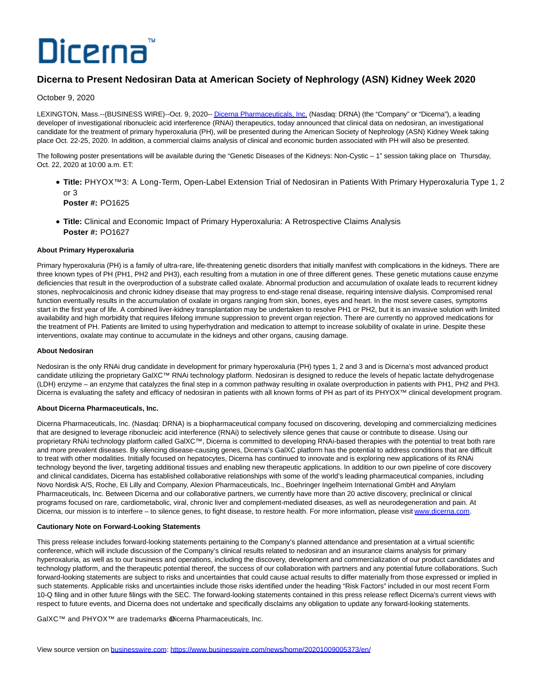# Dicerna

## **Dicerna to Present Nedosiran Data at American Society of Nephrology (ASN) Kidney Week 2020**

October 9, 2020

LEXINGTON, Mass.--(BUSINESS WIRE)--Oct. 9, 2020-[- Dicerna Pharmaceuticals, Inc. \(](https://cts.businesswire.com/ct/CT?id=smartlink&url=http%3A%2F%2Fwww.dicerna.com&esheet=52303472&newsitemid=20201009005373&lan=en-US&anchor=Dicerna+Pharmaceuticals%2C+Inc.&index=1&md5=a7c99edba1939ceb5145b9f57addbc6c)Nasdaq: DRNA) (the "Company" or "Dicerna"), a leading developer of investigational ribonucleic acid interference (RNAi) therapeutics, today announced that clinical data on nedosiran, an investigational candidate for the treatment of primary hyperoxaluria (PH), will be presented during the American Society of Nephrology (ASN) Kidney Week taking place Oct. 22-25, 2020. In addition, a commercial claims analysis of clinical and economic burden associated with PH will also be presented.

The following poster presentations will be available during the "Genetic Diseases of the Kidneys: Non-Cystic – 1" session taking place on Thursday, Oct. 22, 2020 at 10:00 a.m. ET:

- **Title:** PHYOX™3: A Long-Term, Open-Label Extension Trial of Nedosiran in Patients With Primary Hyperoxaluria Type 1, 2 or 3
	- **Poster #:** PO1625
- **Title:** Clinical and Economic Impact of Primary Hyperoxaluria: A Retrospective Claims Analysis **Poster #:** PO1627

### **About Primary Hyperoxaluria**

Primary hyperoxaluria (PH) is a family of ultra-rare, life-threatening genetic disorders that initially manifest with complications in the kidneys. There are three known types of PH (PH1, PH2 and PH3), each resulting from a mutation in one of three different genes. These genetic mutations cause enzyme deficiencies that result in the overproduction of a substrate called oxalate. Abnormal production and accumulation of oxalate leads to recurrent kidney stones, nephrocalcinosis and chronic kidney disease that may progress to end-stage renal disease, requiring intensive dialysis. Compromised renal function eventually results in the accumulation of oxalate in organs ranging from skin, bones, eyes and heart. In the most severe cases, symptoms start in the first year of life. A combined liver-kidney transplantation may be undertaken to resolve PH1 or PH2, but it is an invasive solution with limited availability and high morbidity that requires lifelong immune suppression to prevent organ rejection. There are currently no approved medications for the treatment of PH. Patients are limited to using hyperhydration and medication to attempt to increase solubility of oxalate in urine. Despite these interventions, oxalate may continue to accumulate in the kidneys and other organs, causing damage.

### **About Nedosiran**

Nedosiran is the only RNAi drug candidate in development for primary hyperoxaluria (PH) types 1, 2 and 3 and is Dicerna's most advanced product candidate utilizing the proprietary GalXC™ RNAi technology platform. Nedosiran is designed to reduce the levels of hepatic lactate dehydrogenase (LDH) enzyme – an enzyme that catalyzes the final step in a common pathway resulting in oxalate overproduction in patients with PH1, PH2 and PH3. Dicerna is evaluating the safety and efficacy of nedosiran in patients with all known forms of PH as part of its PHYOX™ clinical development program.

### **About Dicerna Pharmaceuticals, Inc.**

Dicerna Pharmaceuticals, Inc. (Nasdaq: DRNA) is a biopharmaceutical company focused on discovering, developing and commercializing medicines that are designed to leverage ribonucleic acid interference (RNAi) to selectively silence genes that cause or contribute to disease. Using our proprietary RNAi technology platform called GalXC™, Dicerna is committed to developing RNAi-based therapies with the potential to treat both rare and more prevalent diseases. By silencing disease-causing genes, Dicerna's GalXC platform has the potential to address conditions that are difficult to treat with other modalities. Initially focused on hepatocytes, Dicerna has continued to innovate and is exploring new applications of its RNAi technology beyond the liver, targeting additional tissues and enabling new therapeutic applications. In addition to our own pipeline of core discovery and clinical candidates, Dicerna has established collaborative relationships with some of the world's leading pharmaceutical companies, including Novo Nordisk A/S, Roche, Eli Lilly and Company, Alexion Pharmaceuticals, Inc., Boehringer Ingelheim International GmbH and Alnylam Pharmaceuticals, Inc. Between Dicerna and our collaborative partners, we currently have more than 20 active discovery, preclinical or clinical programs focused on rare, cardiometabolic, viral, chronic liver and complement-mediated diseases, as well as neurodegeneration and pain. At Dicerna, our mission is to interfere – to silence genes, to fight disease, to restore health. For more information, please visi[t www.dicerna.com.](https://cts.businesswire.com/ct/CT?id=smartlink&url=http%3A%2F%2Fwww.dicerna.com&esheet=52303472&newsitemid=20201009005373&lan=en-US&anchor=www.dicerna.com&index=2&md5=8b37eb66611cc5563c27707a61063dfa)

### **Cautionary Note on Forward-Looking Statements**

This press release includes forward-looking statements pertaining to the Company's planned attendance and presentation at a virtual scientific conference, which will include discussion of the Company's clinical results related to nedosiran and an insurance claims analysis for primary hyperoxaluria, as well as to our business and operations, including the discovery, development and commercialization of our product candidates and technology platform, and the therapeutic potential thereof, the success of our collaboration with partners and any potential future collaborations. Such forward-looking statements are subject to risks and uncertainties that could cause actual results to differ materially from those expressed or implied in such statements. Applicable risks and uncertainties include those risks identified under the heading "Risk Factors" included in our most recent Form 10-Q filing and in other future filings with the SEC. The forward-looking statements contained in this press release reflect Dicerna's current views with respect to future events, and Dicerna does not undertake and specifically disclaims any obligation to update any forward-looking statements.

GalXC™ and PHYOX™ are trademarks **@icerna Pharmaceuticals**, Inc.